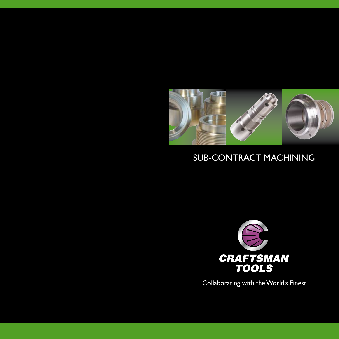

## SUB-CONTRACT MACHINING



Collaborating with the World's Finest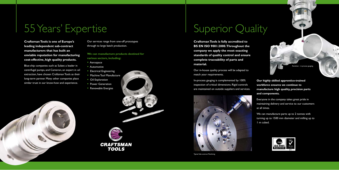# 55 Years' Expertise

**Craftsman Tools is one of Europe's leading independent sub-contract manufacturers that has built an enviable reputation for manufacturing cost-effective, high quality products.**

Blue-chip companies such as Sulzer, a leader in centrifugal pumps, and Cameron, an expert in oil extraction, have chosen Craftsman Tools as their long-term partner. Many other companies place similar trust in our know-how and experience.

Our services range from one-off prototypes through to large batch production.

**We can manufacture products destined for various sectors, including:**

- Aerospace
- Automotive
- Electrical Engineering
- Machine Tool Manufacture
- Oil Exploration
- Power Generation
- Renewable Energies



**BS EN ISO 9001:2000. Throughout the company we apply the most exacting standards of quality control and ensure complete traceability of parts and material.**

Our in-house quality process will be adapted to match your requirements.

In-process gauging is complemented by 100% inspection of critical dimensions. Rigid controls are maintained on outside suppliers and services.





**Our highly skilled apprentice-trained workforce ensures we continue to manufacture high quality, precision parts and components.** 

Everyone in the company takes great pride in maintaining delivery and service to our customers at all times.

We can manufacture parts up to 2 tonnes with turning up to 1500 mm diameter and milling up to 1 m cubed.







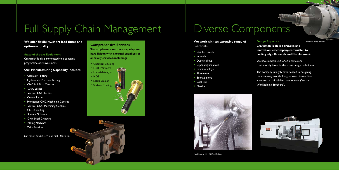## **We offer flexibility, short lead times and optimum quality.**

## **State-of-the-art Equipment**

Craftsman Tools is committed to a constant programme of reinvestment.

## **Our Manufacturing Capability includes:**

- Assembly / Fitting
- Hydrostatic Pressure Testing
- CNC Mill Turn Centres
- CNC Lathes
- Vertical CNC Lathes
- Centre Lathes
- Horizontal CNC Machining Centres
- Vertical CNC Machining Centres
- CNC Grinding
- Surface Grinders
- Cylindrical Grinders
- Milling Machines
- Wire Erosion
- Stainless steels
- Inconels
- Duplex alloys
- Super duplex alloys
- Titanium alloys
- Aluminium
- Bronze alloys
- Cast iron
- Plastics



*For more details, see our Full Plant List.*

# Full Supply Chain Management

## **We work with an extensive range of materials:**

We have modern 3D CAD facilities and continuously invest in the latest design techniques.

## **Comprehensive Services**

**To complement our own capacity, we have liaison with external suppliers of ancillary services, including:**

- Chemical Blacking
- Heat Treatment
- Material Analysis
- NDE
- Spark Erosion
- Surface Coating

# Diverse Components

## **Design Expertise**

**Craftsman Tools is a creative and innovation-led company, committed to cutting edge Research and Development.**

The company is highly experienced in designing the necessary workholding required to machine accurate, but affordable, components. (See our Workholding Brochure).







Horizontal Boring Machine.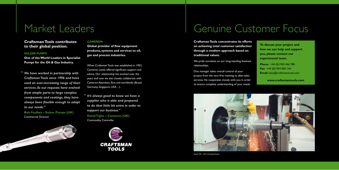## **Craftsman Tools contributes to their global position.**

### **SULZER PUMPS**

**One of the World Leaders in Specialist Pumps for the Oil & Gas Industry.**

*We have worked in partnership with " Craftsman Tools since 1996 and have used an ever-increasing range of their services. As our requests have evolved from simple parts to large complex components and coatings, they have always been flexible enough to adapt to our needs."*

**Bob Foulkes – Sulzer Pumps (UK)** Commercial Director



### **CAMERON**

**Global provider of flow equipment products, systems and services to oil, gas and process industries.**

> We pride ourselves on our long-standing business relationships.

When Craftsman Tools was established in 1953, Cameron Leeds offered significant support and advice. Our relationship has evolved over the years and now we also closely collaborate with Cameron Aberdeen, Eire and worldwide (Brazil, Germany, Singapore, USA…).

*It's always good to know we have a " supplier who is able and prepared to do that little bit extra in order to support our business."* **David Tighe – Cameron (UK)** Commodity Controller



## Market Leaders

## Genuine Customer Focus

**Craftsman Tools concentrates its efforts on achieving total customer satisfaction through a modern approach based on traditional values.**

One manager takes overall control of your project from the very first meeting to after-sales services. He cooperates closely with you in order to ensure complete understanding of your needs.



**To discuss your project and how we can help and support you, please contact our experienced team.**

**Phone**: +44 (0)1943 466 788 **Fax**: +44 (0)1943 850 144 **Email**: sales@craftsmantools.com

**www.craftsmantools.com**

Studer S40 – CNC Grinding Machine.